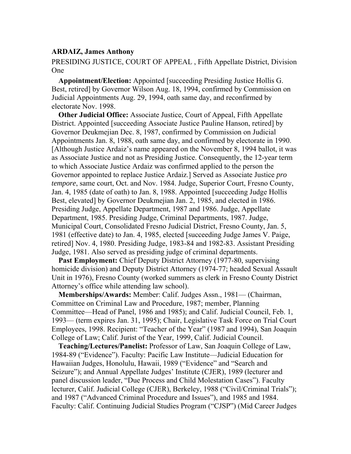## **ARDAIZ, James Anthony**

PRESIDING JUSTICE, COURT OF APPEAL , Fifth Appellate District, Division One

**Appointment/Election:** Appointed [succeeding Presiding Justice Hollis G. Best, retired] by Governor Wilson Aug. 18, 1994, confirmed by Commission on Judicial Appointments Aug. 29, 1994, oath same day, and reconfirmed by electorate Nov. 1998.

**Other Judicial Office:** Associate Justice, Court of Appeal, Fifth Appellate District. Appointed [succeeding Associate Justice Pauline Hanson, retired] by Governor Deukmejian Dec. 8, 1987, confirmed by Commission on Judicial Appointments Jan. 8, 1988, oath same day, and confirmed by electorate in 1990. [Although Justice Ardaiz's name appeared on the November 8, 1994 ballot, it was as Associate Justice and not as Presiding Justice. Consequently, the 12-year term to which Associate Justice Ardaiz was confirmed applied to the person the Governor appointed to replace Justice Ardaiz.] Served as Associate Justice *pro tempore*, same court, Oct. and Nov. 1984. Judge, Superior Court, Fresno County, Jan. 4, 1985 (date of oath) to Jan. 8, 1988. Appointed [succeeding Judge Hollis Best, elevated] by Governor Deukmejian Jan. 2, 1985, and elected in 1986. Presiding Judge, Appellate Department, 1987 and 1986. Judge, Appellate Department, 1985. Presiding Judge, Criminal Departments, 1987. Judge, Municipal Court, Consolidated Fresno Judicial District, Fresno County, Jan. 5, 1981 (effective date) to Jan. 4, 1985, elected [succeeding Judge James V. Paige, retired] Nov. 4, 1980. Presiding Judge, 1983-84 and 1982-83. Assistant Presiding Judge, 1981. Also served as presiding judge of criminal departments.

**Past Employment:** Chief Deputy District Attorney (1977-80, supervising homicide division) and Deputy District Attorney (1974-77; headed Sexual Assault Unit in 1976), Fresno County (worked summers as clerk in Fresno County District Attorney's office while attending law school).

**Memberships/Awards:** Member: Calif. Judges Assn., 1981— (Chairman, Committee on Criminal Law and Procedure, 1987; member, Planning Committee—Head of Panel, 1986 and 1985); and Calif. Judicial Council, Feb. 1, 1993— (term expires Jan. 31, 1995); Chair, Legislative Task Force on Trial Court Employees, 1998. Recipient: "Teacher of the Year" (1987 and 1994), San Joaquin College of Law; Calif. Jurist of the Year, 1999, Calif. Judicial Council.

**Teaching/Lectures/Panelist:** Professor of Law, San Joaquin College of Law, 1984-89 ("Evidence"). Faculty: Pacific Law Institute—Judicial Education for Hawaiian Judges, Honolulu, Hawaii, 1989 ("Evidence" and "Search and Seizure"); and Annual Appellate Judges' Institute (CJER), 1989 (lecturer and panel discussion leader, "Due Process and Child Molestation Cases"). Faculty lecturer, Calif. Judicial College (CJER), Berkeley, 1988 ("Civil/Criminal Trials"); and 1987 ("Advanced Criminal Procedure and Issues"), and 1985 and 1984. Faculty: Calif. Continuing Judicial Studies Program ("CJSP") (Mid Career Judges